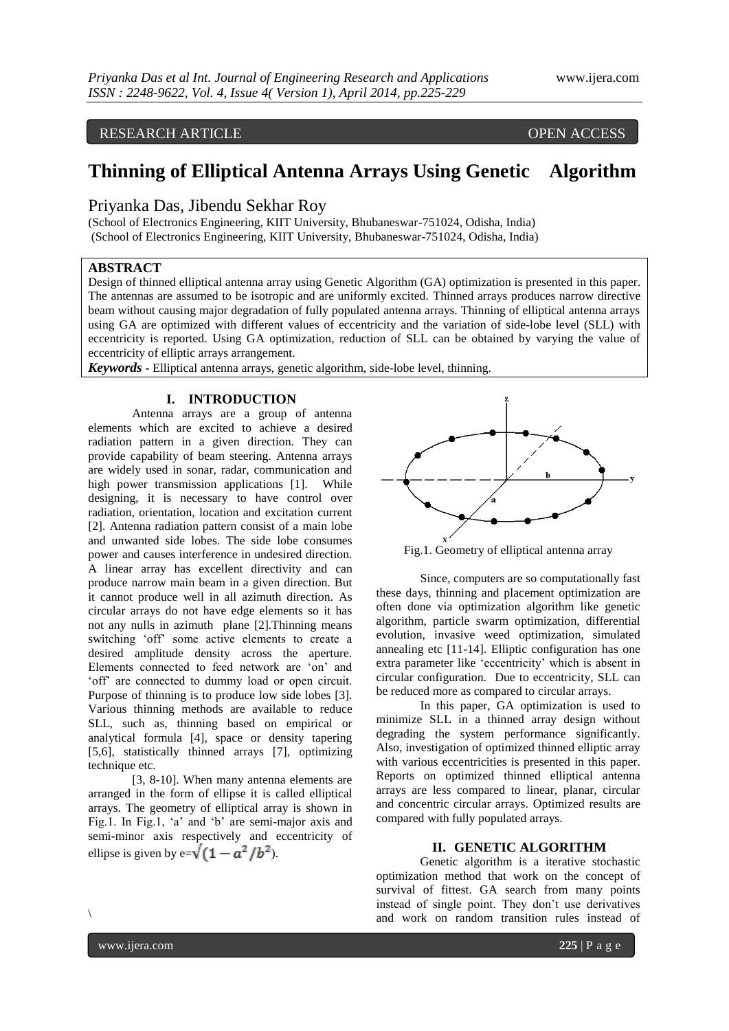# RESEARCH ARTICLE OPEN ACCESS

# **Thinning of Elliptical Antenna Arrays Using Genetic Algorithm**

## Priyanka Das, Jibendu Sekhar Roy

(School of Electronics Engineering, KIIT University, Bhubaneswar-751024, Odisha, India) (School of Electronics Engineering, KIIT University, Bhubaneswar-751024, Odisha, India)

#### **ABSTRACT**

Design of thinned elliptical antenna array using Genetic Algorithm (GA) optimization is presented in this paper. The antennas are assumed to be isotropic and are uniformly excited. Thinned arrays produces narrow directive beam without causing major degradation of fully populated antenna arrays. Thinning of elliptical antenna arrays using GA are optimized with different values of eccentricity and the variation of side-lobe level (SLL) with eccentricity is reported. Using GA optimization, reduction of SLL can be obtained by varying the value of eccentricity of elliptic arrays arrangement.

*Keywords* **-** Elliptical antenna arrays, genetic algorithm, side-lobe level, thinning.

# **I. INTRODUCTION**

Antenna arrays are a group of antenna elements which are excited to achieve a desired radiation pattern in a given direction. They can provide capability of beam steering. Antenna arrays are widely used in sonar, radar, communication and high power transmission applications [1]. While designing, it is necessary to have control over radiation, orientation, location and excitation current [2]. Antenna radiation pattern consist of a main lobe and unwanted side lobes. The side lobe consumes power and causes interference in undesired direction. A linear array has excellent directivity and can produce narrow main beam in a given direction. But it cannot produce well in all azimuth direction. As circular arrays do not have edge elements so it has not any nulls in azimuth plane [2].Thinning means switching "off" some active elements to create a desired amplitude density across the aperture. Elements connected to feed network are "on" and "off" are connected to dummy load or open circuit. Purpose of thinning is to produce low side lobes [3]. Various thinning methods are available to reduce SLL, such as, thinning based on empirical or analytical formula [4], space or density tapering [5,6], statistically thinned arrays [7], optimizing technique etc.

[3, 8-10]. When many antenna elements are arranged in the form of ellipse it is called elliptical arrays. The geometry of elliptical array is shown in Fig.1. In Fig.1, "a" and "b" are semi-major axis and semi-minor axis respectively and eccentricity of ellipse is given by e= $\sqrt{(1-a^2/b^2)}$ .



Fig.1. Geometry of elliptical antenna array

Since, computers are so computationally fast these days, thinning and placement optimization are often done via optimization algorithm like genetic algorithm, particle swarm optimization, differential evolution, invasive weed optimization, simulated annealing etc [11-14]. Elliptic configuration has one extra parameter like "eccentricity" which is absent in circular configuration. Due to eccentricity, SLL can be reduced more as compared to circular arrays.

In this paper, GA optimization is used to minimize SLL in a thinned array design without degrading the system performance significantly. Also, investigation of optimized thinned elliptic array with various eccentricities is presented in this paper. Reports on optimized thinned elliptical antenna arrays are less compared to linear, planar, circular and concentric circular arrays. Optimized results are compared with fully populated arrays.

### **II. GENETIC ALGORITHM**

Genetic algorithm is a iterative stochastic optimization method that work on the concept of survival of fittest. GA search from many points instead of single point. They don"t use derivatives and work on random transition rules instead of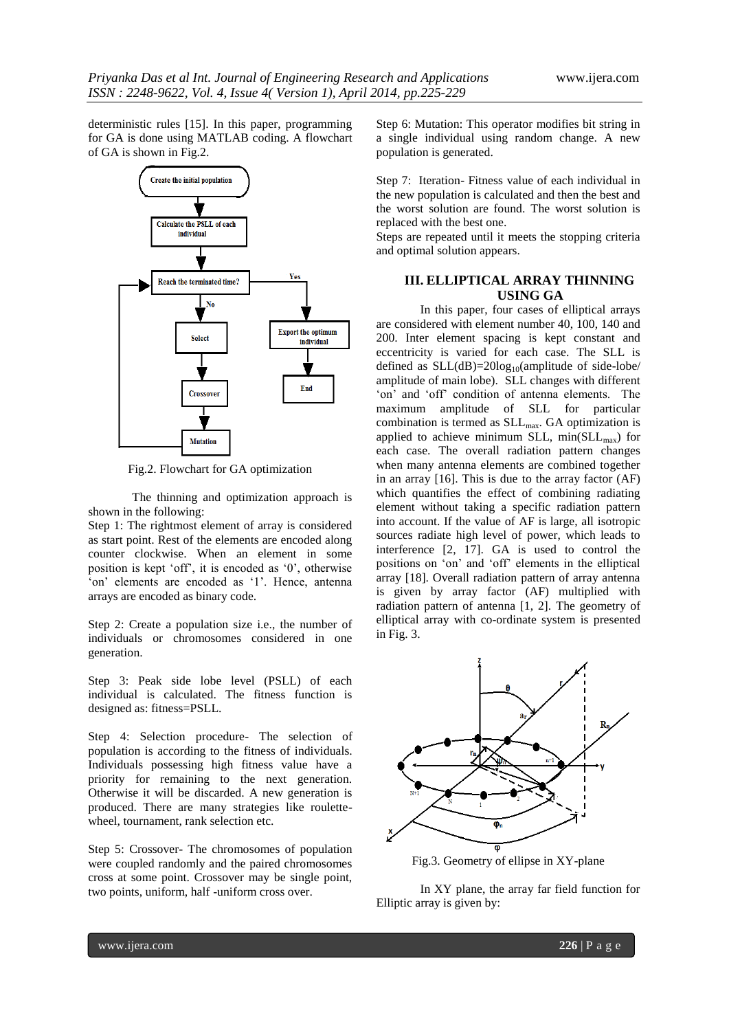deterministic rules [15]. In this paper, programming for GA is done using MATLAB coding. A flowchart of GA is shown in Fig.2.



Fig.2. Flowchart for GA optimization

The thinning and optimization approach is shown in the following:

Step 1: The rightmost element of array is considered as start point. Rest of the elements are encoded along counter clockwise. When an element in some position is kept "off", it is encoded as "0", otherwise 'on' elements are encoded as '1'. Hence, antenna arrays are encoded as binary code.

Step 2: Create a population size i.e., the number of individuals or chromosomes considered in one generation.

Step 3: Peak side lobe level (PSLL) of each individual is calculated. The fitness function is designed as: fitness=PSLL.

Step 4: Selection procedure- The selection of population is according to the fitness of individuals. Individuals possessing high fitness value have a priority for remaining to the next generation. Otherwise it will be discarded. A new generation is produced. There are many strategies like roulettewheel, tournament, rank selection etc.

Step 5: Crossover- The chromosomes of population were coupled randomly and the paired chromosomes cross at some point. Crossover may be single point, two points, uniform, half -uniform cross over.

Step 6: Mutation: This operator modifies bit string in a single individual using random change. A new population is generated.

Step 7: Iteration- Fitness value of each individual in the new population is calculated and then the best and the worst solution are found. The worst solution is replaced with the best one.

Steps are repeated until it meets the stopping criteria and optimal solution appears.

# **III. ELLIPTICAL ARRAY THINNING USING GA**

In this paper, four cases of elliptical arrays are considered with element number 40, 100, 140 and 200. Inter element spacing is kept constant and eccentricity is varied for each case. The SLL is defined as  $SLL(dB)=20log_{10}(amplitude of side-lobe/$ amplitude of main lobe). SLL changes with different 'on' and 'off' condition of antenna elements. The maximum amplitude of SLL for particular combination is termed as  $SLL_{\text{max}}$ . GA optimization is applied to achieve minimum SLL,  $min(SLL_{max})$  for each case. The overall radiation pattern changes when many antenna elements are combined together in an array [16]. This is due to the array factor (AF) which quantifies the effect of combining radiating element without taking a specific radiation pattern into account. If the value of AF is large, all isotropic sources radiate high level of power, which leads to interference [2, 17]. GA is used to control the positions on "on" and "off" elements in the elliptical array [18]. Overall radiation pattern of array antenna is given by array factor (AF) multiplied with radiation pattern of antenna [1, 2]. The geometry of elliptical array with co-ordinate system is presented in Fig. 3.



In XY plane, the array far field function for Elliptic array is given by: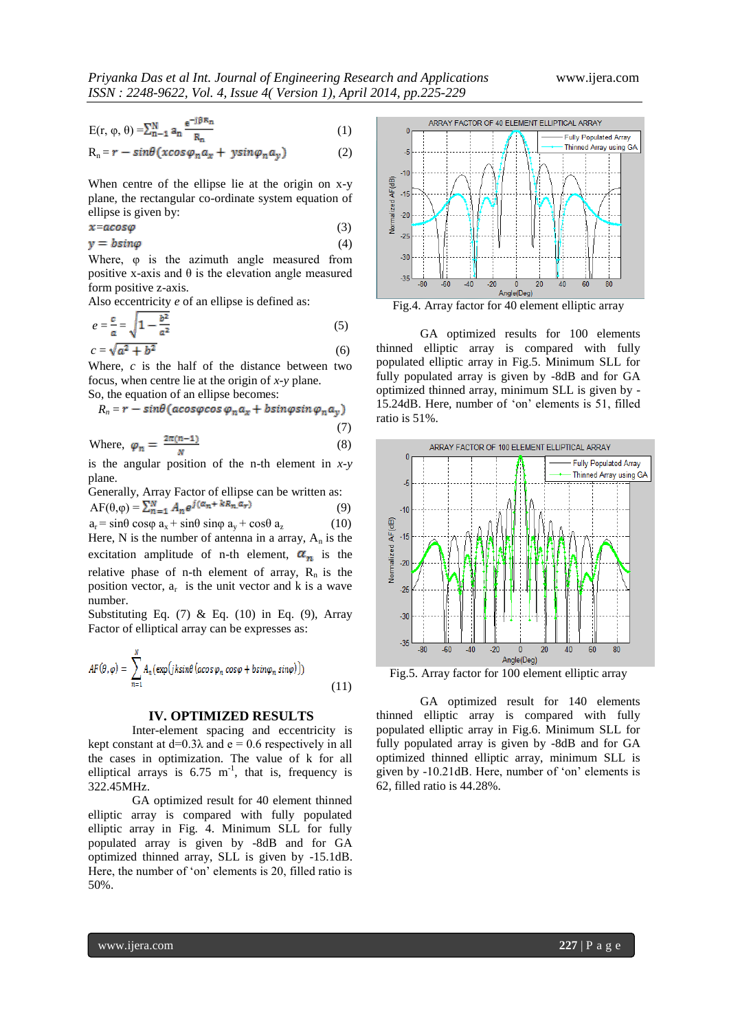(7)

$$
E(r, \varphi, \theta) = \sum_{n=1}^{N} a_n \frac{e^{-j\beta R_n}}{R_n}
$$
 (1)

$$
R_n = r - sin\theta(xcos\varphi_n a_x + ysin\varphi_n a_y)
$$
 (2)

When centre of the ellipse lie at the origin on x-y plane, the rectangular co-ordinate system equation of ellipse is given by:

$$
x = a \cos \varphi \tag{3}
$$

$$
y = b \sin \varphi \tag{4}
$$

Where, φ is the azimuth angle measured from positive x-axis and  $\theta$  is the elevation angle measured form positive z-axis.

Also eccentricity *e* of an ellipse is defined as:

$$
e = \frac{c}{a} = \sqrt{1 - \frac{b^2}{a^2}}
$$
  
\n
$$
c = \sqrt{a^2 + b^2}
$$
\n(5)

Where, *c* is the half of the distance between two focus, when centre lie at the origin of *x-y* plane.

So, the equation of an ellipse becomes:

$$
R_n = r - sin\theta (acos\varphi cos\varphi_n a_x + b sin\varphi sin\varphi_n a_y)
$$

Where, 
$$
\varphi_n = \frac{2\pi(n-1)}{N}
$$
 (8)

is the angular position of the n-th element in *x-y* plane.

Generally, Array Factor of ellipse can be written as:  
\n
$$
AF(\theta,\varphi) = \sum_{n=1}^{N} A_n e^{j(\alpha_n + kR_n, \alpha_r)}
$$
\n(9)

 $a_r = \sin\theta \cos\phi \ a_x + \sin\theta \sin\phi \ a_y + \cos\theta \ a_z$  (10) Here, N is the number of antenna in a array,  $A_n$  is the excitation amplitude of n-th element,  $\alpha_n$  is the relative phase of n-th element of array,  $R_n$  is the position vector,  $a_r$  is the unit vector and k is a wave number.

Substituting Eq.  $(7)$  & Eq.  $(10)$  in Eq.  $(9)$ , Array Factor of elliptical array can be expresses as:

$$
AF(\theta, \varphi) = \sum_{n=1}^{N} A_n(\exp(jk\sin\theta(\alpha\cos\varphi_n\cos\varphi + b\sin\varphi_n\sin\varphi)))
$$
\n(11)

#### **IV. OPTIMIZED RESULTS**

Inter-element spacing and eccentricity is kept constant at  $d=0.3\lambda$  and  $e=0.6$  respectively in all the cases in optimization. The value of k for all elliptical arrays is  $6.75 \text{ m}^{-1}$ , that is, frequency is 322.45MHz.

GA optimized result for 40 element thinned elliptic array is compared with fully populated elliptic array in Fig. 4. Minimum SLL for fully populated array is given by -8dB and for GA optimized thinned array, SLL is given by -15.1dB. Here, the number of 'on' elements is 20, filled ratio is 50%.



Fig.4. Array factor for 40 element elliptic array

GA optimized results for 100 elements thinned elliptic array is compared with fully populated elliptic array in Fig.5. Minimum SLL for fully populated array is given by -8dB and for GA optimized thinned array, minimum SLL is given by - 15.24dB. Here, number of "on" elements is 51, filled ratio is 51%.



Fig.5. Array factor for 100 element elliptic array

GA optimized result for 140 elements thinned elliptic array is compared with fully populated elliptic array in Fig.6. Minimum SLL for fully populated array is given by -8dB and for GA optimized thinned elliptic array, minimum SLL is given by -10.21dB. Here, number of "on" elements is 62, filled ratio is 44.28%.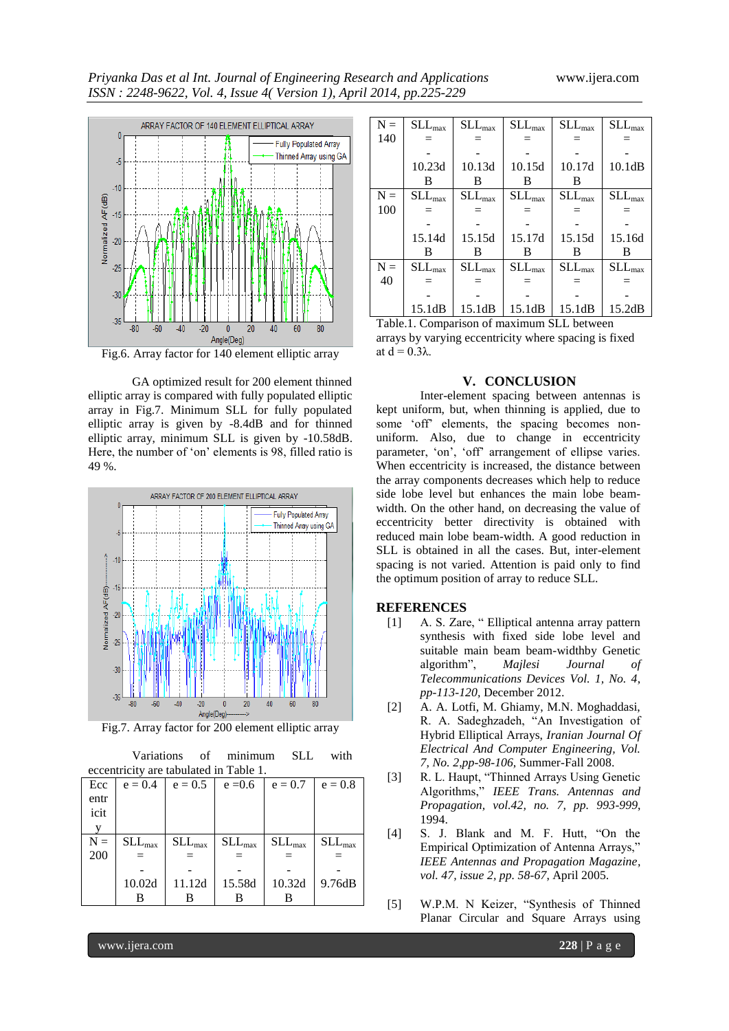

Fig.6. Array factor for 140 element elliptic array

GA optimized result for 200 element thinned elliptic array is compared with fully populated elliptic array in Fig.7. Minimum SLL for fully populated elliptic array is given by -8.4dB and for thinned elliptic array, minimum SLL is given by -10.58dB. Here, the number of 'on' elements is 98, filled ratio is 49 %.



Fig.7. Array factor for 200 element elliptic array

|                                        |             | Variations of minimum |             | <b>SLL</b>  | with        |  |  |  |
|----------------------------------------|-------------|-----------------------|-------------|-------------|-------------|--|--|--|
| eccentricity are tabulated in Table 1. |             |                       |             |             |             |  |  |  |
| Ecc                                    | $e = 0.4$   | $e = 0.5$             | $e = 0.6$   | $e = 0.7$   | $e = 0.8$   |  |  |  |
| entr                                   |             |                       |             |             |             |  |  |  |
| icit                                   |             |                       |             |             |             |  |  |  |
| V                                      |             |                       |             |             |             |  |  |  |
| $N =$                                  | $SLL_{max}$ | $SLL_{max}$           | $SLL_{max}$ | $SLL_{max}$ | $SLL_{max}$ |  |  |  |
| 200                                    | —           |                       |             |             |             |  |  |  |
|                                        |             |                       |             |             |             |  |  |  |
|                                        | 10.02d      | 11.12d                | 15.58d      | 10.32d      | 9.76dB      |  |  |  |
|                                        | в           | в                     |             | в           |             |  |  |  |
|                                        |             |                       |             |             |             |  |  |  |

| $N =$ | $SLL_{max}$     | $\rm SLL_{max}$ | $SLL_{max}$     | $SLL_{max}$     | $SLL_{max}$ |
|-------|-----------------|-----------------|-----------------|-----------------|-------------|
| 140   |                 |                 |                 |                 |             |
|       |                 |                 |                 |                 |             |
|       | 10.23d          | 10.13d          | 10.15d          | 10.17d          | 10.1dB      |
|       | в               | в               | В               | B               |             |
| $N =$ | $\rm SLL_{max}$ | $\rm SLL_{max}$ | $\rm SLL_{max}$ | $\rm SLL_{max}$ | $SLL_{max}$ |
| 100   |                 |                 | $=$             |                 |             |
|       |                 |                 |                 |                 |             |
|       | 15.14d          | 15.15d          | 15.17d          | 15.15d          | 15.16d      |
|       | B               | в               | В               | B               | B           |
| $N =$ | $SLL_{max}$     | $SLL_{max}$     | $SLL_{max}$     | $SLL_{max}$     | $SLL_{max}$ |
| 40    |                 |                 | $=$             |                 |             |
|       |                 |                 |                 |                 |             |
|       | 15.1dB          | 15.1dB          | 15.1dB          | 15.1dB          | 15.2dB      |

Table.1. Comparison of maximum SLL between arrays by varying eccentricity where spacing is fixed at  $d = 0.3λ$ .

#### **V. CONCLUSION**

Inter-element spacing between antennas is kept uniform, but, when thinning is applied, due to some "off" elements, the spacing becomes nonuniform. Also, due to change in eccentricity parameter, 'on', 'off' arrangement of ellipse varies. When eccentricity is increased, the distance between the array components decreases which help to reduce side lobe level but enhances the main lobe beamwidth. On the other hand, on decreasing the value of eccentricity better directivity is obtained with reduced main lobe beam-width. A good reduction in SLL is obtained in all the cases. But, inter-element spacing is not varied. Attention is paid only to find the optimum position of array to reduce SLL.

#### **REFERENCES**

- [1] A. S. Zare, " Elliptical antenna array pattern synthesis with fixed side lobe level and suitable main beam beam-widthby Genetic algorithm", *Majlesi Journal of Telecommunications Devices Vol. 1, No. 4*, *pp-113-120,* December 2012.
- [2] A. A. Lotfi, M. Ghiamy, M.N. Moghaddasi, R. A. Sadeghzadeh, "An Investigation of Hybrid Elliptical Arrays, *Iranian Journal Of Electrical And Computer Engineering, Vol. 7, No. 2*,*pp-98-106,* Summer-Fall 2008.
- [3] R. L. Haupt, "Thinned Arrays Using Genetic Algorithms," *IEEE Trans. Antennas and Propagation, vol.42, no. 7, pp. 993-999*, 1994.
- [4] S. J. Blank and M. F. Hutt, "On the Empirical Optimization of Antenna Arrays," *IEEE Antennas and Propagation Magazine, vol. 47, issue 2, pp. 58-67*, April 2005.
- [5] W.P.M. N Keizer, "Synthesis of Thinned Planar Circular and Square Arrays using